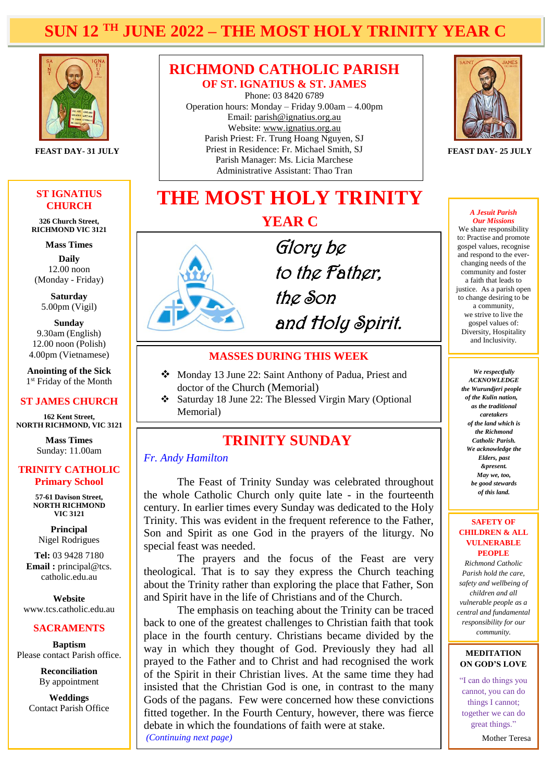# **SUN 12 TH JUNE 2022 – THE MOST HOLY TRINITY YEAR C**



#### **ST IGNATIUS CHURCH**

**326 Church Street, RICHMOND VIC 3121**

**Mass Times**

**Daily** 12.00 noon (Monday - Friday)

**Saturday** 5.00pm (Vigil)

**Sunday** 9.30am (English) 12.00 noon (Polish) 4.00pm (Vietnamese)

**Anointing of the Sick** 1<sup>st</sup> Friday of the Month

# **ST JAMES CHURCH**

 **NORTH RICHMOND, VIC 3121 162 Kent Street,**

**Mass Times** Sunday: 11.00am

#### **TRINITY CATHOLIC Primary School**

**57-61 Davison Street, NORTH RICHMOND VIC 3121**

**Principal** Nigel Rodrigues

**Tel:** 03 9428 7180 **Email :** principal@tcs. catholic.edu.au

**Website** www.tcs.catholic.edu.au

#### **SACRAMENTS**

**Baptism** Please contact Parish office.

> **Reconciliation** By appointment

**Weddings** Contact Parish Office

## **RICHMOND CATHOLIC PARISH OF ST. IGNATIUS & ST. JAMES Hotel Constitution Constitution**

Phone: 03 8420 6789 Operation hours: Monday – Friday 9.00am – 4.00pm Email: [parish@ignatius.org.au](mailto:parish@ignatius.org.au) Website: [www.ignatius.org.au](http://www.ignatius.org.au/) Parish Priest: Fr. Trung Hoang Nguyen, SJ Priest in Residence: Fr. Michael Smith, SJ **FEAST DAY- 31 JULY FEAST DAY- 25 JULY** Parish Manager: Ms. Licia Marchese Administrative Assistant: Thao Tran



# **THE MOST HOLY TRINITY**



 **YEAR C**  Glory be to the Father, the Son and Holy Spirit.

### **MASSES DURING THIS WEEK**

- Monday 13 June 22: Saint Anthony of Padua, Priest and doctor of the Church (Memorial)
- Saturday 18 June 22: The Blessed Virgin Mary (Optional Memorial)

# **TRINITY SUNDAY**

#### *Fr. Andy Hamilton*

The Feast of Trinity Sunday was celebrated throughout the whole Catholic Church only quite late - in the fourteenth century. In earlier times every Sunday was dedicated to the Holy Trinity. This was evident in the frequent reference to the Father, Son and Spirit as one God in the prayers of the liturgy. No special feast was needed.

The prayers and the focus of the Feast are very theological. That is to say they express the Church teaching about the Trinity rather than exploring the place that Father, Son and Spirit have in the life of Christians and of the Church.

The emphasis on teaching about the Trinity can be traced back to one of the greatest challenges to Christian faith that took place in the fourth century. Christians became divided by the way in which they thought of God. Previously they had all prayed to the Father and to Christ and had recognised the work of the Spirit in their Christian lives. At the same time they had insisted that the Christian God is one, in contrast to the many Gods of the pagans. Few were concerned how these convictions fitted together. In the Fourth Century, however, there was fierce debate in which the foundations of faith were at stake. *(Continuing next page)* 

#### *A Jesuit Parish Our Missions*

We share responsibility to: Practise and promote gospel values, recognise and respond to the everchanging needs of the community and foster a faith that leads to justice. As a parish open to change desiring to be a community, we strive to live the gospel values of: Diversity, Hospitality and Inclusivity.

*We respectfully ACKNOWLEDGE the Wurundjeri people of the Kulin nation, as the traditional caretakers of the land which is the Richmond Catholic Parish. We acknowledge the Elders, past &present. May we, too, be good stewards of this land.*

#### **SAFETY OF CHILDREN & ALL VULNERABLE PEOPLE**

*Richmond Catholic Parish hold the care, safety and wellbeing of children and all vulnerable people as a central and fundamental responsibility for our community.*

#### **MEDITATION ON GOD'S LOVE**

"I can do things you cannot, you can do things I cannot; together [we can do](https://everydaypowerblog.com/marie-curie-quotes/)  [great things."](https://everydaypowerblog.com/marie-curie-quotes/)

Mother Teresa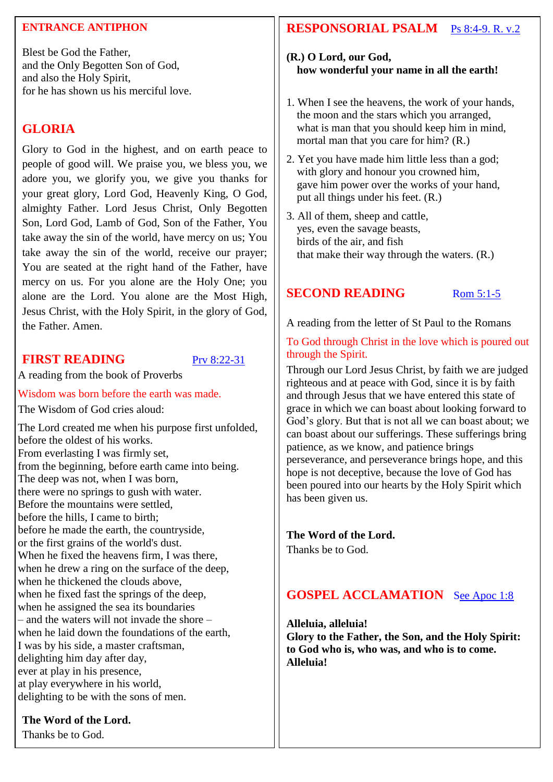## **ENTRANCE ANTIPHON**

Blest be God the Father, and the Only Begotten Son of God, and also the Holy Spirit, for he has shown us his merciful love.

# **GLORIA**

Glory to God in the highest, and on earth peace to people of good will. We praise you, we bless you, we adore you, we glorify you, we give you thanks for your great glory, Lord God, Heavenly King, O God, almighty Father. Lord Jesus Christ, Only Begotten Son, Lord God, Lamb of God, Son of the Father, You take away the sin of the world, have mercy on us; You take away the sin of the world, receive our prayer; You are seated at the right hand of the Father, have mercy on us. For you alone are the Holy One; you alone are the Lord. You alone are the Most High, Jesus Christ, with the Holy Spirit, in the glory of God, the Father. Amen.

## **FIRST READING** [Prv 8:22-31](https://www.liturgyhelp.com/ritual/lectionary/LectionaryList%7Cpro#pro008)

A reading from the book of Proverbs

### Wisdom was born before the earth was made.

The Wisdom of God cries aloud:

The Lord created me when his purpose first unfolded, before the oldest of his works. From everlasting I was firmly set, from the beginning, before earth came into being. The deep was not, when I was born, there were no springs to gush with water. Before the mountains were settled, before the hills, I came to birth; before he made the earth, the countryside, or the first grains of the world's dust. When he fixed the heavens firm, I was there, when he drew a ring on the surface of the deep, when he thickened the clouds above, when he fixed fast the springs of the deep, when he assigned the sea its boundaries – and the waters will not invade the shore – when he laid down the foundations of the earth, I was by his side, a master craftsman, delighting him day after day, ever at play in his presence, at play everywhere in his world, delighting to be with the sons of men.

**The Word of the Lord.**

Thanks be to God.

## **RESPONSORIAL PSALM** [Ps 8:4-9. R. v.2](https://www.liturgyhelp.com/ritual/lectionary/LectionaryListPsalm%7Cpsm)

**(R.) O Lord, our God, how wonderful your name in all the earth!**

- 1. When I see the heavens, the work of your hands, the moon and the stars which you arranged, what is man that you should keep him in mind, mortal man that you care for him? (R.)
- 2. Yet you have made him little less than a god; with glory and honour you crowned him, gave him power over the works of your hand, put all things under his feet. (R.)
- 3. All of them, sheep and cattle, yes, even the savage beasts, birds of the air, and fish that make their way through the waters. (R.)

## **SECOND READING** [Rom 5:1-5](https://www.liturgyhelp.com/ritual/lectionary/LectionaryList%7Crom#rom005)

A reading from the letter of St Paul to the Romans

### To God through Christ in the love which is poured out through the Spirit.

Through our Lord Jesus Christ, by faith we are judged righteous and at peace with God, since it is by faith and through Jesus that we have entered this state of grace in which we can boast about looking forward to God's glory. But that is not all we can boast about; we can boast about our sufferings. These sufferings bring patience, as we know, and patience brings perseverance, and perseverance brings hope, and this hope is not deceptive, because the love of God has been poured into our hearts by the Holy Spirit which has been given us.

**The Word of the Lord.** Thanks be to God.

# **GOSPEL ACCLAMATION** [See Apoc 1:8](https://www.liturgyhelp.com/ritual/lectionary/LectionaryListGosAc%7Crev#rev001)

#### **Alleluia, alleluia!**

**Glory to the Father, the Son, and the Holy Spirit: to God who is, who was, and who is to come. Alleluia!**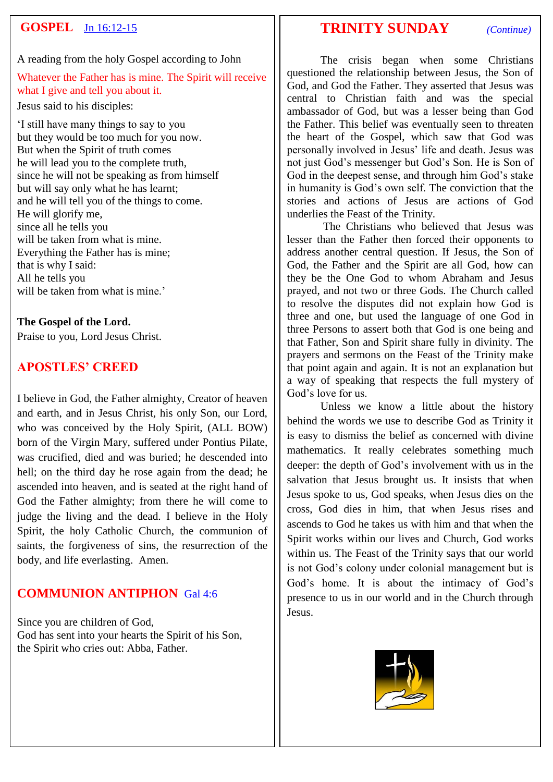# **GOSPEL** [Jn 16:12-15](https://www.liturgyhelp.com/ritual/lectionary/LectionaryList%7Cjhn#jhn016)

#### A reading from the holy Gospel according to John

#### Whatever the Father has is mine. The Spirit will receive what I give and tell you about it.

Jesus said to his disciples:

'I still have many things to say to you but they would be too much for you now. But when the Spirit of truth comes he will lead you to the complete truth, since he will not be speaking as from himself but will say only what he has learnt; and he will tell you of the things to come. He will glorify me, since all he tells you will be taken from what is mine. Everything the Father has is mine; that is why I said: All he tells you will be taken from what is mine.'

# **The Gospel of the Lord.**

Praise to you, Lord Jesus Christ.

## **APOSTLES' CREED**

I believe in God, the Father almighty, Creator of heaven and earth, and in Jesus Christ, his only Son, our Lord, who was conceived by the Holy Spirit, (ALL BOW) born of the Virgin Mary, suffered under Pontius Pilate, was crucified, died and was buried; he descended into hell; on the third day he rose again from the dead; he ascended into heaven, and is seated at the right hand of God the Father almighty; from there he will come to judge the living and the dead. I believe in the Holy Spirit, the holy Catholic Church, the communion of saints, the forgiveness of sins, the resurrection of the body, and life everlasting. Amen.

## **COMMUNION ANTIPHON** Gal 4:6

Since you are children of God, God has sent into your hearts the Spirit of his Son, the Spirit who cries out: Abba, Father.

# **TRINITY SUNDAY** *(Continue)*

The crisis began when some Christians questioned the relationship between Jesus, the Son of God, and God the Father. They asserted that Jesus was central to Christian faith and was the special ambassador of God, but was a lesser being than God the Father. This belief was eventually seen to threaten the heart of the Gospel, which saw that God was personally involved in Jesus' life and death. Jesus was not just God's messenger but God's Son. He is Son of God in the deepest sense, and through him God's stake in humanity is God's own self. The conviction that the stories and actions of Jesus are actions of God underlies the Feast of the Trinity.

The Christians who believed that Jesus was lesser than the Father then forced their opponents to address another central question. If Jesus, the Son of God, the Father and the Spirit are all God, how can they be the One God to whom Abraham and Jesus prayed, and not two or three Gods. The Church called to resolve the disputes did not explain how God is three and one, but used the language of one God in three Persons to assert both that God is one being and that Father, Son and Spirit share fully in divinity. The prayers and sermons on the Feast of the Trinity make that point again and again. It is not an explanation but a way of speaking that respects the full mystery of God's love for us.

Unless we know a little about the history behind the words we use to describe God as Trinity it is easy to dismiss the belief as concerned with divine mathematics. It really celebrates something much deeper: the depth of God's involvement with us in the salvation that Jesus brought us. It insists that when Jesus spoke to us, God speaks, when Jesus dies on the cross, God dies in him, that when Jesus rises and ascends to God he takes us with him and that when the Spirit works within our lives and Church, God works within us. The Feast of the Trinity says that our world is not God's colony under colonial management but is God's home. It is about the intimacy of God's presence to us in our world and in the Church through Jesus.